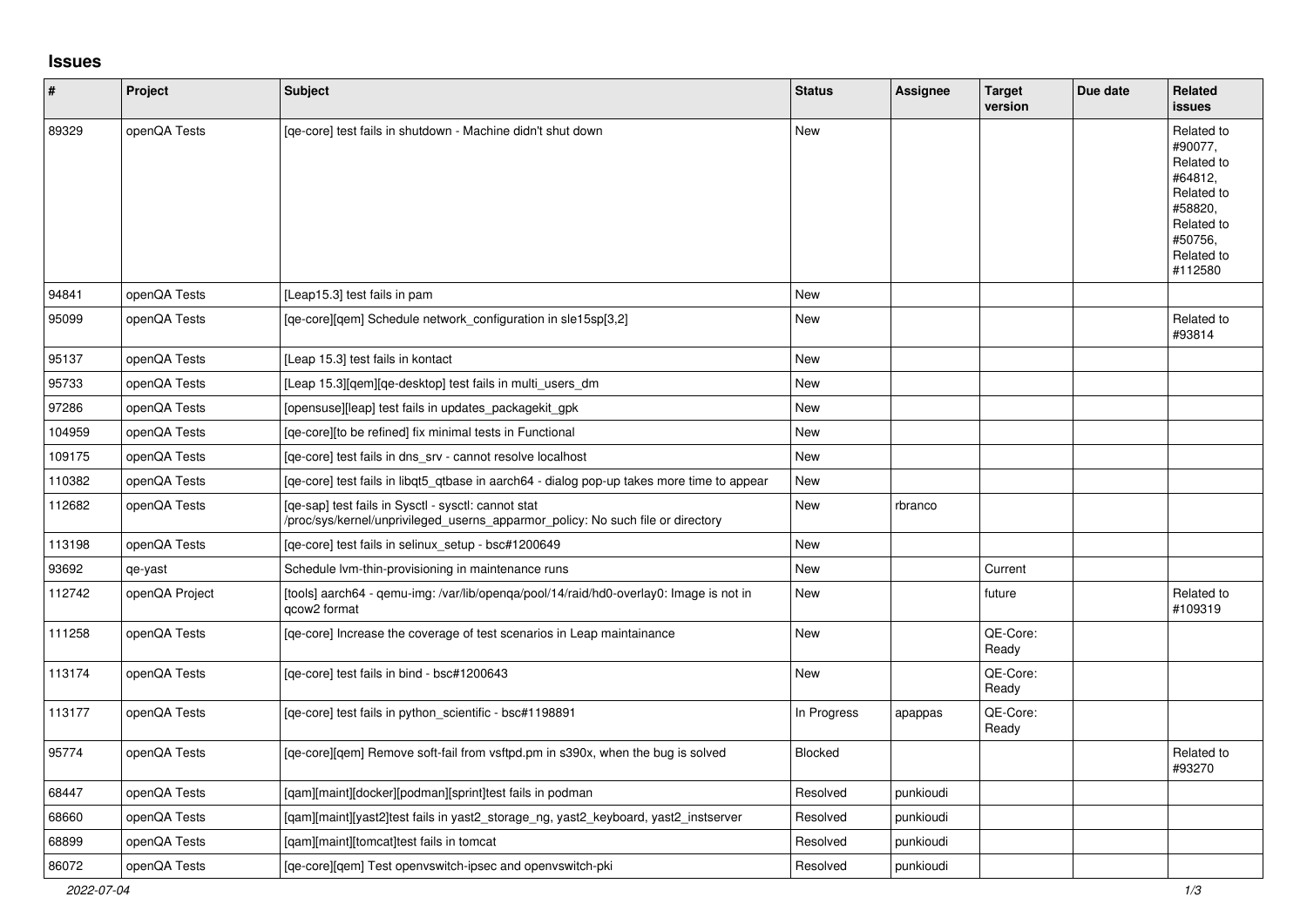## **Issues**

| #      | Project        | <b>Subject</b>                                                                                                                         | <b>Status</b>  | <b>Assignee</b> | <b>Target</b><br>version | Due date | Related<br><b>issues</b>                                                                                                  |
|--------|----------------|----------------------------------------------------------------------------------------------------------------------------------------|----------------|-----------------|--------------------------|----------|---------------------------------------------------------------------------------------------------------------------------|
| 89329  | openQA Tests   | [ge-core] test fails in shutdown - Machine didn't shut down                                                                            | New            |                 |                          |          | Related to<br>#90077,<br>Related to<br>#64812,<br>Related to<br>#58820,<br>Related to<br>#50756,<br>Related to<br>#112580 |
| 94841  | openQA Tests   | [Leap15.3] test fails in pam                                                                                                           | New            |                 |                          |          |                                                                                                                           |
| 95099  | openQA Tests   | [ge-core][gem] Schedule network configuration in sle15sp[3,2]                                                                          | New            |                 |                          |          | Related to<br>#93814                                                                                                      |
| 95137  | openQA Tests   | [Leap 15.3] test fails in kontact                                                                                                      | New            |                 |                          |          |                                                                                                                           |
| 95733  | openQA Tests   | [Leap 15.3][qem][qe-desktop] test fails in multi_users_dm                                                                              | New            |                 |                          |          |                                                                                                                           |
| 97286  | openQA Tests   | [opensuse][leap] test fails in updates_packagekit_gpk                                                                                  | New            |                 |                          |          |                                                                                                                           |
| 104959 | openQA Tests   | [ge-core][to be refined] fix minimal tests in Functional                                                                               | New            |                 |                          |          |                                                                                                                           |
| 109175 | openQA Tests   | [ge-core] test fails in dns srv - cannot resolve localhost                                                                             | New            |                 |                          |          |                                                                                                                           |
| 110382 | openQA Tests   | [ge-core] test fails in libgt5 gtbase in aarch64 - dialog pop-up takes more time to appear                                             | New            |                 |                          |          |                                                                                                                           |
| 112682 | openQA Tests   | [ge-sap] test fails in Sysctl - sysctl: cannot stat<br>/proc/sys/kernel/unprivileged_userns_apparmor_policy: No such file or directory | New            | rbranco         |                          |          |                                                                                                                           |
| 113198 | openQA Tests   | [qe-core] test fails in selinux_setup - bsc#1200649                                                                                    | New            |                 |                          |          |                                                                                                                           |
| 93692  | qe-yast        | Schedule Ivm-thin-provisioning in maintenance runs                                                                                     | New            |                 | Current                  |          |                                                                                                                           |
| 112742 | openQA Project | [tools] aarch64 - qemu-img: /var/lib/openga/pool/14/raid/hd0-overlay0: Image is not in<br>qcow2 format                                 | New            |                 | future                   |          | Related to<br>#109319                                                                                                     |
| 111258 | openQA Tests   | [qe-core] Increase the coverage of test scenarios in Leap maintainance                                                                 | New            |                 | QE-Core:<br>Ready        |          |                                                                                                                           |
| 113174 | openQA Tests   | [ge-core] test fails in bind - bsc#1200643                                                                                             | New            |                 | QE-Core:<br>Ready        |          |                                                                                                                           |
| 113177 | openQA Tests   | [qe-core] test fails in python_scientific - bsc#1198891                                                                                | In Progress    | apappas         | QE-Core:<br>Ready        |          |                                                                                                                           |
| 95774  | openQA Tests   | [qe-core][qem] Remove soft-fail from vsftpd.pm in s390x, when the bug is solved                                                        | <b>Blocked</b> |                 |                          |          | Related to<br>#93270                                                                                                      |
| 68447  | openQA Tests   | [gam][maint][docker][podman][sprint]test fails in podman                                                                               | Resolved       | punkioudi       |                          |          |                                                                                                                           |
| 68660  | openQA Tests   | [qam][maint][yast2]test fails in yast2_storage_ng, yast2_keyboard, yast2_instserver                                                    | Resolved       | punkioudi       |                          |          |                                                                                                                           |
| 68899  | openQA Tests   | [qam][maint][tomcat]test fails in tomcat                                                                                               | Resolved       | punkioudi       |                          |          |                                                                                                                           |
| 86072  | openQA Tests   | [ge-core][gem] Test openvswitch-ipsec and openvswitch-pki                                                                              | Resolved       | punkioudi       |                          |          |                                                                                                                           |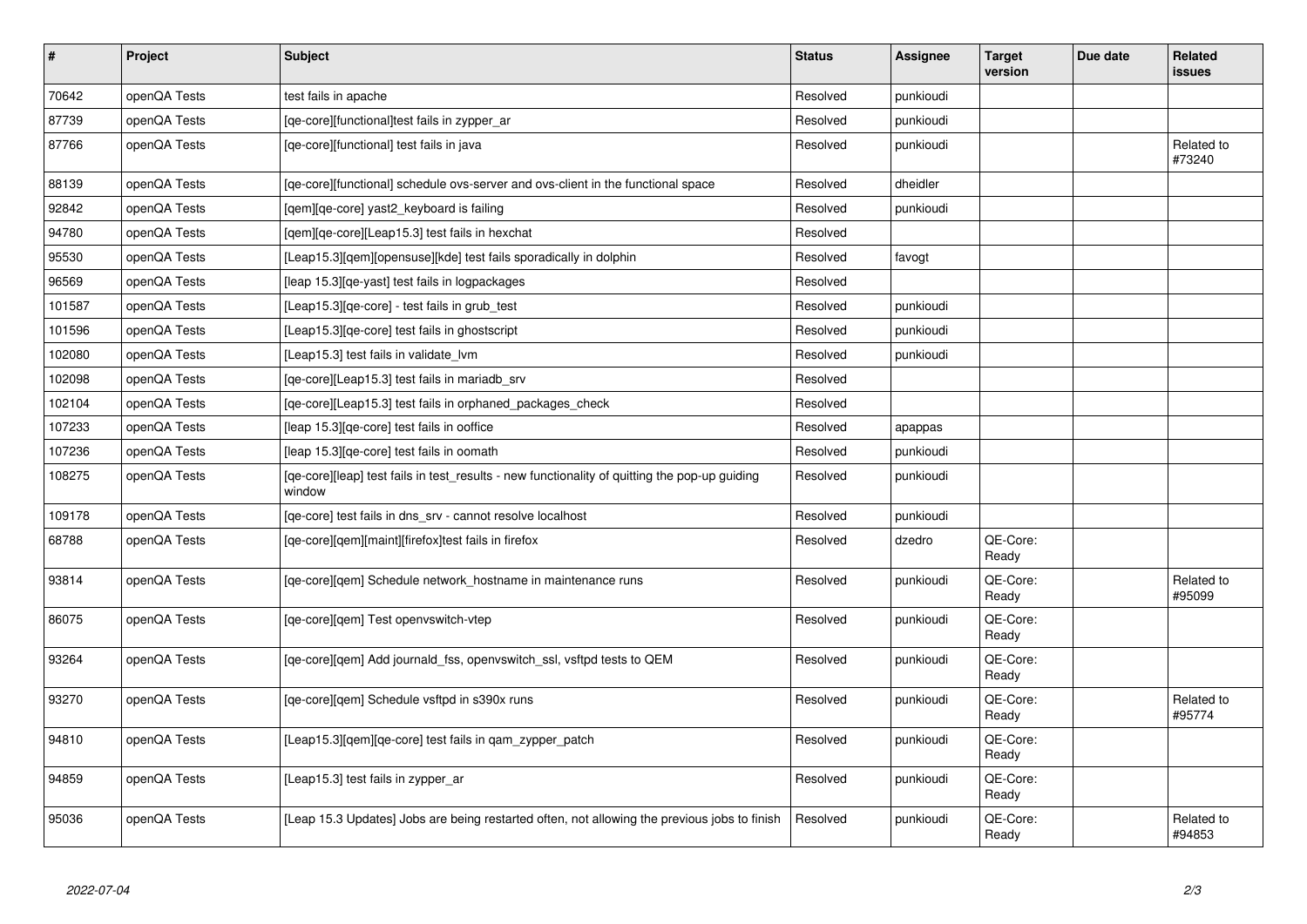| $\sharp$ | Project      | Subject                                                                                                 | <b>Status</b> | <b>Assignee</b> | <b>Target</b><br>version | Due date | Related<br><b>issues</b> |
|----------|--------------|---------------------------------------------------------------------------------------------------------|---------------|-----------------|--------------------------|----------|--------------------------|
| 70642    | openQA Tests | test fails in apache                                                                                    | Resolved      | punkioudi       |                          |          |                          |
| 87739    | openQA Tests | [qe-core][functional]test fails in zypper_ar                                                            | Resolved      | punkioudi       |                          |          |                          |
| 87766    | openQA Tests | [qe-core][functional] test fails in java                                                                | Resolved      | punkioudi       |                          |          | Related to<br>#73240     |
| 88139    | openQA Tests | [ge-core][functional] schedule ovs-server and ovs-client in the functional space                        | Resolved      | dheidler        |                          |          |                          |
| 92842    | openQA Tests | [gem][ge-core] yast2 keyboard is failing                                                                | Resolved      | punkioudi       |                          |          |                          |
| 94780    | openQA Tests | [qem][qe-core][Leap15.3] test fails in hexchat                                                          | Resolved      |                 |                          |          |                          |
| 95530    | openQA Tests | [Leap15.3][qem][opensuse][kde] test fails sporadically in dolphin                                       | Resolved      | favogt          |                          |          |                          |
| 96569    | openQA Tests | [leap 15.3][qe-yast] test fails in logpackages                                                          | Resolved      |                 |                          |          |                          |
| 101587   | openQA Tests | [Leap15.3][qe-core] - test fails in grub_test                                                           | Resolved      | punkioudi       |                          |          |                          |
| 101596   | openQA Tests | [Leap15.3] [qe-core] test fails in ghostscript                                                          | Resolved      | punkioudi       |                          |          |                          |
| 102080   | openQA Tests | [Leap15.3] test fails in validate_lvm                                                                   | Resolved      | punkioudi       |                          |          |                          |
| 102098   | openQA Tests | [ge-core][Leap15.3] test fails in mariadb srv                                                           | Resolved      |                 |                          |          |                          |
| 102104   | openQA Tests | [qe-core][Leap15.3] test fails in orphaned_packages_check                                               | Resolved      |                 |                          |          |                          |
| 107233   | openQA Tests | [leap 15.3][qe-core] test fails in ooffice                                                              | Resolved      | apappas         |                          |          |                          |
| 107236   | openQA Tests | [leap 15.3][qe-core] test fails in oomath                                                               | Resolved      | punkioudi       |                          |          |                          |
| 108275   | openQA Tests | [qe-core][leap] test fails in test_results - new functionality of quitting the pop-up guiding<br>window | Resolved      | punkioudi       |                          |          |                          |
| 109178   | openQA Tests | [qe-core] test fails in dns_srv - cannot resolve localhost                                              | Resolved      | punkioudi       |                          |          |                          |
| 68788    | openQA Tests | [ge-core][gem][maint][firefox]test fails in firefox                                                     | Resolved      | dzedro          | QE-Core:<br>Ready        |          |                          |
| 93814    | openQA Tests | [qe-core][qem] Schedule network_hostname in maintenance runs                                            | Resolved      | punkioudi       | QE-Core:<br>Ready        |          | Related to<br>#95099     |
| 86075    | openQA Tests | [qe-core][qem] Test openvswitch-vtep                                                                    | Resolved      | punkioudi       | QE-Core:<br>Ready        |          |                          |
| 93264    | openQA Tests | [ge-core][gem] Add journald fss, openvswitch ssl, vsftpd tests to QEM                                   | Resolved      | punkioudi       | QE-Core:<br>Ready        |          |                          |
| 93270    | openQA Tests | [qe-core][qem] Schedule vsftpd in s390x runs                                                            | Resolved      | punkioudi       | QE-Core:<br>Ready        |          | Related to<br>#95774     |
| 94810    | openQA Tests | [Leap15.3][qem][qe-core] test fails in qam_zypper_patch                                                 | Resolved      | punkioudi       | QE-Core:<br>Ready        |          |                          |
| 94859    | openQA Tests | [Leap15.3] test fails in zypper_ar                                                                      | Resolved      | punkioudi       | QE-Core:<br>Ready        |          |                          |
| 95036    | openQA Tests | [Leap 15.3 Updates] Jobs are being restarted often, not allowing the previous jobs to finish            | Resolved      | punkioudi       | QE-Core:<br>Ready        |          | Related to<br>#94853     |